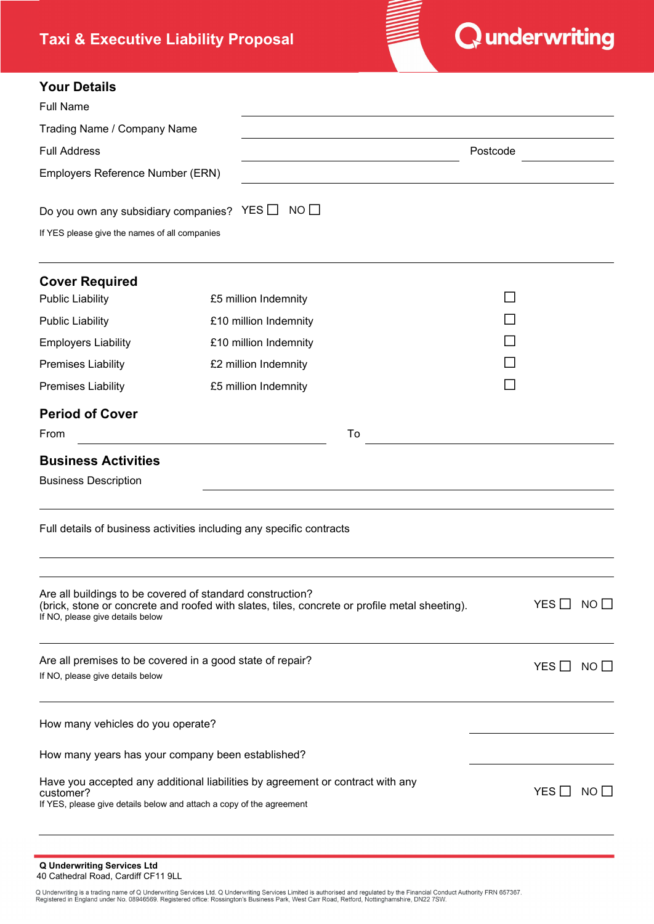# **Taxi & Executive Liability Proposal**



# **Your Details**

| <b>YOUR DETAILS</b>                                                                                                                                                 |                                                                                                                                                            |    |          |                      |  |
|---------------------------------------------------------------------------------------------------------------------------------------------------------------------|------------------------------------------------------------------------------------------------------------------------------------------------------------|----|----------|----------------------|--|
| <b>Full Name</b>                                                                                                                                                    |                                                                                                                                                            |    |          |                      |  |
| Trading Name / Company Name                                                                                                                                         |                                                                                                                                                            |    |          |                      |  |
| <b>Full Address</b>                                                                                                                                                 |                                                                                                                                                            |    | Postcode |                      |  |
| Employers Reference Number (ERN)                                                                                                                                    |                                                                                                                                                            |    |          |                      |  |
| Do you own any subsidiary companies? YES $\Box$                                                                                                                     | $NO$ $\Box$                                                                                                                                                |    |          |                      |  |
| If YES please give the names of all companies                                                                                                                       |                                                                                                                                                            |    |          |                      |  |
| <b>Cover Required</b>                                                                                                                                               |                                                                                                                                                            |    |          |                      |  |
| <b>Public Liability</b>                                                                                                                                             | £5 million Indemnity                                                                                                                                       |    |          |                      |  |
| <b>Public Liability</b>                                                                                                                                             | £10 million Indemnity                                                                                                                                      |    |          |                      |  |
| <b>Employers Liability</b>                                                                                                                                          | £10 million Indemnity                                                                                                                                      |    |          |                      |  |
| <b>Premises Liability</b>                                                                                                                                           | £2 million Indemnity                                                                                                                                       |    |          |                      |  |
| <b>Premises Liability</b>                                                                                                                                           | £5 million Indemnity                                                                                                                                       |    |          |                      |  |
| <b>Period of Cover</b>                                                                                                                                              |                                                                                                                                                            |    |          |                      |  |
| From                                                                                                                                                                |                                                                                                                                                            | To |          |                      |  |
| <b>Business Activities</b>                                                                                                                                          |                                                                                                                                                            |    |          |                      |  |
| <b>Business Description</b>                                                                                                                                         |                                                                                                                                                            |    |          |                      |  |
|                                                                                                                                                                     | Full details of business activities including any specific contracts                                                                                       |    |          |                      |  |
| If NO, please give details below                                                                                                                                    | Are all buildings to be covered of standard construction?<br>(brick, stone or concrete and roofed with slates, tiles, concrete or profile metal sheeting). |    |          | YES $\Box$ NO $\Box$ |  |
| Are all premises to be covered in a good state of repair?<br>If NO, please give details below                                                                       |                                                                                                                                                            |    |          | YES $\Box$ NO $\Box$ |  |
| How many vehicles do you operate?                                                                                                                                   |                                                                                                                                                            |    |          |                      |  |
|                                                                                                                                                                     | How many years has your company been established?                                                                                                          |    |          |                      |  |
| Have you accepted any additional liabilities by agreement or contract with any<br>customer?<br>If YES, please give details below and attach a copy of the agreement |                                                                                                                                                            |    |          | YES $\Box$ NO $\Box$ |  |
|                                                                                                                                                                     |                                                                                                                                                            |    |          |                      |  |

**Q Underwriting Services Ltd**

40 Cathedral Road, Cardiff CF11 9LL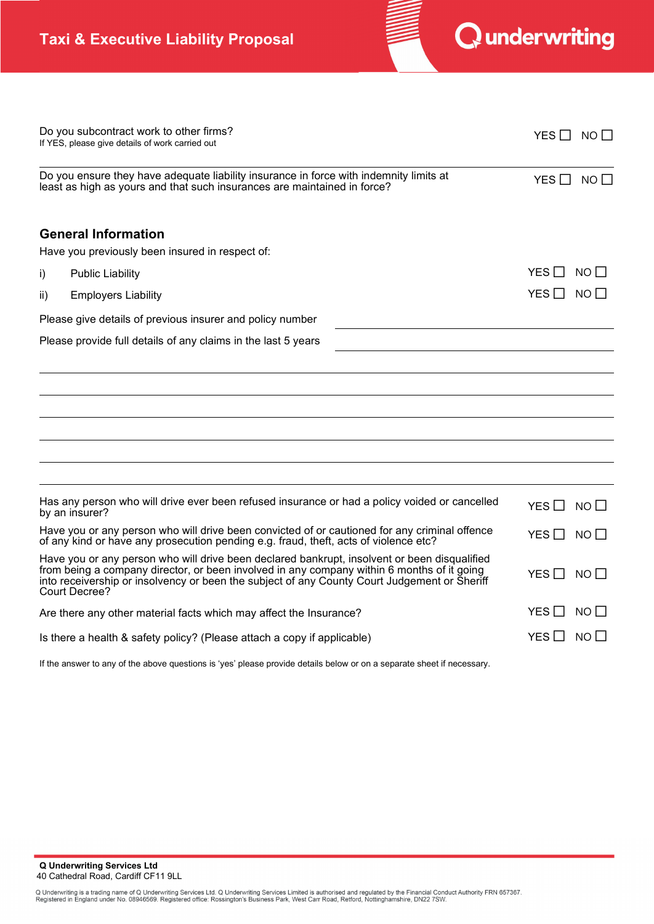

|                                                                                                                                                                                                                                                                                                             | Do you subcontract work to other firms?<br>If YES, please give details of work carried out | YES $\Box$ NO $\Box$          |  |  |
|-------------------------------------------------------------------------------------------------------------------------------------------------------------------------------------------------------------------------------------------------------------------------------------------------------------|--------------------------------------------------------------------------------------------|-------------------------------|--|--|
| Do you ensure they have adequate liability insurance in force with indemnity limits at<br>least as high as yours and that such insurances are maintained in force?                                                                                                                                          | YES $\Box$ NO $\Box$                                                                       |                               |  |  |
|                                                                                                                                                                                                                                                                                                             | <b>General Information</b>                                                                 |                               |  |  |
|                                                                                                                                                                                                                                                                                                             | Have you previously been insured in respect of:                                            |                               |  |  |
| i)                                                                                                                                                                                                                                                                                                          | <b>Public Liability</b>                                                                    | YES $\Box$<br>NO II           |  |  |
| ii)                                                                                                                                                                                                                                                                                                         | <b>Employers Liability</b>                                                                 | YES $\Box$<br>$NO$ $\Box$     |  |  |
|                                                                                                                                                                                                                                                                                                             | Please give details of previous insurer and policy number                                  |                               |  |  |
|                                                                                                                                                                                                                                                                                                             | Please provide full details of any claims in the last 5 years                              |                               |  |  |
|                                                                                                                                                                                                                                                                                                             |                                                                                            |                               |  |  |
|                                                                                                                                                                                                                                                                                                             |                                                                                            |                               |  |  |
|                                                                                                                                                                                                                                                                                                             |                                                                                            |                               |  |  |
|                                                                                                                                                                                                                                                                                                             |                                                                                            |                               |  |  |
|                                                                                                                                                                                                                                                                                                             |                                                                                            |                               |  |  |
|                                                                                                                                                                                                                                                                                                             |                                                                                            |                               |  |  |
| Has any person who will drive ever been refused insurance or had a policy voided or cancelled<br>by an insurer?                                                                                                                                                                                             |                                                                                            | YES $\Box$<br>$NO$ $\Box$     |  |  |
| Have you or any person who will drive been convicted of or cautioned for any criminal offence<br>of any kind or have any prosecution pending e.g. fraud, theft, acts of violence etc?                                                                                                                       |                                                                                            | YES $\Box$<br>$NO$ $\Box$     |  |  |
| Have you or any person who will drive been declared bankrupt, insolvent or been disqualified<br>from being a company director, or been involved in any company within 6 months of it going<br>into receivership or insolvency or been the subject of any County Court Judgement or Sheriff<br>Court Decree? |                                                                                            | YES $\Box$<br>NO <sub>1</sub> |  |  |
|                                                                                                                                                                                                                                                                                                             | Are there any other material facts which may affect the Insurance?                         | YES LI<br>$NO$ $\Box$         |  |  |
| Is there a health & safety policy? (Please attach a copy if applicable)                                                                                                                                                                                                                                     | YES LI<br>NO I I                                                                           |                               |  |  |

If the answer to any of the above questions is 'yes' please provide details below or on a separate sheet if necessary.

**Q Underwriting Services Ltd** 40 Cathedral Road, Cardiff CF11 9LL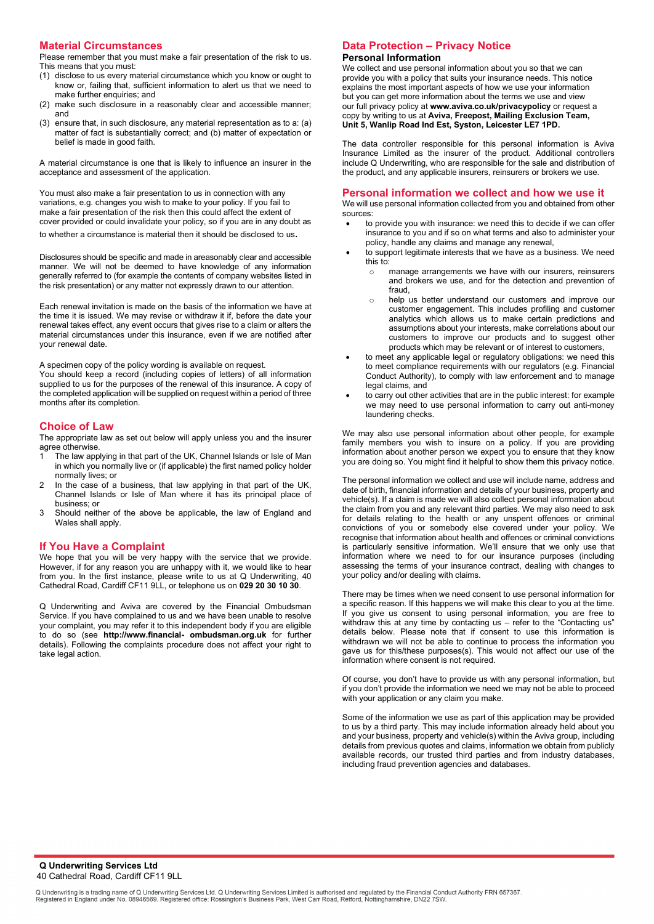## **Material Circumstances**

Please remember that you must make a fair presentation of the risk to us. This means that you must:

- (1) disclose to us every material circumstance which you know or ought to know or, failing that, sufficient information to alert us that we need to make further enquiries; and
- (2) make such disclosure in a reasonably clear and accessible manner; and
- (3) ensure that, in such disclosure, any material representation as to a: (a) matter of fact is substantially correct; and (b) matter of expectation or belief is made in good faith.

A material circumstance is one that is likely to influence an insurer in the acceptance and assessment of the application.

You must also make a fair presentation to us in connection with any variations, e.g. changes you wish to make to your policy. If you fail to make a fair presentation of the risk then this could affect the extent of cover provided or could invalidate your policy, so if you are in any doubt as to whether a circumstance is material then it should be disclosed to us.

Disclosures should be specific and made in areasonably clear and accessible manner. We will not be deemed to have knowledge of any information generally referred to (for example the contents of company websites listed in the risk presentation) or any matter not expressly drawn to our attention.

Each renewal invitation is made on the basis of the information we have at the time it is issued. We may revise or withdraw it if, before the date your renewal takes effect, any event occurs that gives rise to a claim or alters the material circumstances under this insurance, even if we are notified after your renewal date.

A specimen copy of the policy wording is available on request.

You should keep a record (including copies of letters) of all information supplied to us for the purposes of the renewal of this insurance. A copy of the completed application will be supplied on request within a period of three months after its completion.

#### **Choice of Law**

The appropriate law as set out below will apply unless you and the insurer agree otherwise.

- The law applying in that part of the UK, Channel Islands or Isle of Man in which you normally live or (if applicable) the first named policy holder normally lives; or
- 2 In the case of a business, that law applying in that part of the UK, Channel Islands or Isle of Man where it has its principal place of business; or
- 3 Should neither of the above be applicable, the law of England and Wales shall apply.

## **If You Have a Complaint**

We hope that you will be very happy with the service that we provide. However, if for any reason you are unhappy with it, we would like to hear from you. In the first instance, please write to us at Q Underwriting, 40 Cathedral Road, Cardiff CF11 9LL, or telephone us on **029 20 30 10 30**.

Q Underwriting and Aviva are covered by the Financial Ombudsman Service. If you have complained to us and we have been unable to resolve your complaint, you may refer it to this independent body if you are eligible to do so (see **h[ttp://www.financial](http://www.%EF%AC%81nancial-)- ombudsman.org.uk** for further details). Following the complaints procedure does not affect your right to take legal action.

# **Data Protection – Privacy Notice**

#### **Personal Information**

We collect and use personal information about you so that we can provide you with a policy that suits your insurance needs. This notice explains the most important aspects of how we use your information but you can get more information about the terms we use and view our full privacy policy at **[www.aviva.co.uk/privacypolicy](http://www.aviva.co.uk/privacypolicy)** or request a copy by writing to us at **Aviva, Freepost, Mailing Exclusion Team, Unit 5, Wanlip Road Ind Est, Syston, Leicester LE7 1PD.**

The data controller responsible for this personal information is Aviva Insurance Limited as the insurer of the product. Additional controllers include Q Underwriting, who are responsible for the sale and distribution of the product, and any applicable insurers, reinsurers or brokers we use.

#### **Personal information we collect and how we use it**

We will use personal information collected from you and obtained from other sources:

- to provide you with insurance: we need this to decide if we can offer insurance to you and if so on what terms and also to administer your policy, handle any claims and manage any renewal,
- to support legitimate interests that we have as a business. We need this to:
	- manage arrangements we have with our insurers, reinsurers and brokers we use, and for the detection and prevention of fraud,
	- o help us better understand our customers and improve our customer engagement. This includes profiling and customer analytics which allows us to make certain predictions and assumptions about your interests, make correlations about our customers to improve our products and to suggest other products which may be relevant or of interest to customers,
- to meet any applicable legal or regulatory obligations: we need this to meet compliance requirements with our regulators (e.g. Financial Conduct Authority), to comply with law enforcement and to manage legal claims, and
- to carry out other activities that are in the public interest: for example we may need to use personal information to carry out anti-money laundering checks.

We may also use personal information about other people, for example family members you wish to insure on a policy. If you are providing information about another person we expect you to ensure that they know you are doing so. You might find it helpful to show them this privacy notice.

The personal information we collect and use will include name, address and date of birth, financial information and details of your business, property and vehicle(s). If a claim is made we will also collect personal information about the claim from you and any relevant third parties. We may also need to ask for details relating to the health or any unspent offences or criminal convictions of you or somebody else covered under your policy. We recognise that information about health and offences or criminal convictions is particularly sensitive information. We'll ensure that we only use that information where we need to for our insurance purposes (including assessing the terms of your insurance contract, dealing with changes to your policy and/or dealing with claims.

There may be times when we need consent to use personal information for a specific reason. If this happens we will make this clear to you at the time. If you give us consent to using personal information, you are free to withdraw this at any time by contacting us – refer to the "Contacting us" details below. Please note that if consent to use this information is withdrawn we will not be able to continue to process the information you gave us for this/these purposes(s). This would not affect our use of the information where consent is not required.

Of course, you don't have to provide us with any personal information, but if you don't provide the information we need we may not be able to proceed with your application or any claim you make.

Some of the information we use as part of this application may be provided to us by a third party. This may include information already held about you and your business, property and vehicle(s) within the Aviva group, including details from previous quotes and claims, information we obtain from publicly available records, our trusted third parties and from industry databases, including fraud prevention agencies and databases.

**Q Underwriting Services Ltd** 40 Cathedral Road, Cardiff CF11 9LL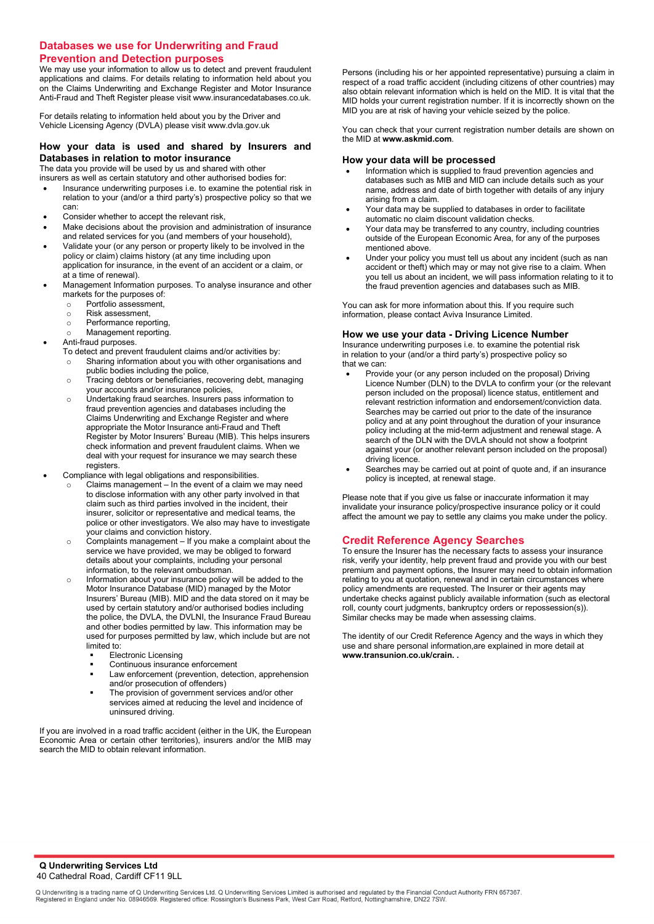# **Databases we use for Underwriting and Fraud Prevention and Detection purposes**

We may use your information to allow us to detect and prevent fraudulent applications and claims. For details relating to information held about you on the Claims Underwriting and Exchange Register and Motor Insurance Anti-Fraud and Theft Register please visit [www.insurancedatabases.co.uk.](http://www.insurancedatabases.co.uk/)

For details relating to information held about you by the Driver and Vehicle Licensing Agency (DVLA) please visit [www.dvla.gov.uk](http://www.dvla.gov.uk/)

# **How your data is used and shared by Insurers and Databases in relation to motor insurance**

The data you provide will be used by us and shared with other

- insurers as well as certain statutory and other authorised bodies for: • Insurance underwriting purposes i.e. to examine the potential risk in relation to your (and/or a third party's) prospective policy so that we can:
- Consider whether to accept the relevant risk,
- Make decisions about the provision and administration of insurance and related services for you (and members of your household),
- Validate your (or any person or property likely to be involved in the policy or claim) claims history (at any time including upon application for insurance, in the event of an accident or a claim, or at a time of renewal).
- Management Information purposes. To analyse insurance and other markets for the purposes of:<br>  $\circ$  Portfolio assessment,
	- Portfolio assessment,<br>○ Risk assessment.
	-
	- o Risk assessment,<br>o Performance repo
	- o Performance reporting,<br>
	o Management reporting. Management reporting.
- Anti-fraud purposes.
	- To detect and prevent fraudulent claims and/or activities by:
	- o Sharing information about you with other organisations and public bodies including the police,
	- o Tracing debtors or beneficiaries, recovering debt, managing your accounts and/or insurance policies,
	- o Undertaking fraud searches. Insurers pass information to fraud prevention agencies and databases including the Claims Underwriting and Exchange Register and where appropriate the Motor Insurance anti-Fraud and Theft Register by Motor Insurers' Bureau (MIB). This helps insurers check information and prevent fraudulent claims. When we deal with your request for insurance we may search these registers.
- Compliance with legal obligations and responsibilities.
	- Claims management In the event of a claim we may need to disclose information with any other party involved in that claim such as third parties involved in the incident, their insurer, solicitor or representative and medical teams, the police or other investigators. We also may have to investigate your claims and conviction history.
	- o Complaints management If you make a complaint about the service we have provided, we may be obliged to forward details about your complaints, including your personal information, to the relevant ombudsman.
	- o Information about your insurance policy will be added to the Motor Insurance Database (MID) managed by the Motor Insurers' Bureau (MIB). MID and the data stored on it may be used by certain statutory and/or authorised bodies including the police, the DVLA, the DVLNI, the Insurance Fraud Bureau and other bodies permitted by law. This information may be used for purposes permitted by law, which include but are not limited to:
		- Electronic Licensing
		- Continuous insurance enforcement
		- Law enforcement (prevention, detection, apprehension and/or prosecution of offenders)
		- The provision of government services and/or other services aimed at reducing the level and incidence of uninsured driving.

If you are involved in a road traffic accident (either in the UK, the European Economic Area or certain other territories), insurers and/or the MIB may search the MID to obtain relevant information.

Persons (including his or her appointed representative) pursuing a claim in respect of a road traffic accident (including citizens of other countries) may also obtain relevant information which is held on the MID. It is vital that the MID holds your current registration number. If it is incorrectly shown on the MID you are at risk of having your vehicle seized by the police.

You can check that your current registration number details are shown on the MID at **[www.askmid.com](http://www.askmid.com/)**.

#### **How your data will be processed**

- Information which is supplied to fraud prevention agencies and databases such as MIB and MID can include details such as your name, address and date of birth together with details of any injury arising from a claim.
- Your data may be supplied to databases in order to facilitate automatic no claim discount validation checks.
- Your data may be transferred to any country, including countries outside of the European Economic Area, for any of the purposes mentioned above.
- Under your policy you must tell us about any incident (such as nan accident or theft) which may or may not give rise to a claim. When you tell us about an incident, we will pass information relating to it to the fraud prevention agencies and databases such as MIB.

You can ask for more information about this. If you require such information, please contact Aviva Insurance Limited.

#### **How we use your data - Driving Licence Number**

Insurance underwriting purposes i.e. to examine the potential risk in relation to your (and/or a third party's) prospective policy so that we can:

- Provide your (or any person included on the proposal) Driving Licence Number (DLN) to the DVLA to confirm your (or the relevant person included on the proposal) licence status, entitlement and relevant restriction information and endorsement/conviction data. Searches may be carried out prior to the date of the insurance policy and at any point throughout the duration of your insurance policy including at the mid-term adjustment and renewal stage. A search of the DLN with the DVLA should not show a footprint against your (or another relevant person included on the proposal) driving licence.
- Searches may be carried out at point of quote and, if an insurance policy is incepted, at renewal stage.

Please note that if you give us false or inaccurate information it may invalidate your insurance policy/prospective insurance policy or it could affect the amount we pay to settle any claims you make under the policy.

#### **Credit Reference Agency Searches**

To ensure the Insurer has the necessary facts to assess your insurance risk, verify your identity, help prevent fraud and provide you with our best premium and payment options, the Insurer may need to obtain information relating to you at quotation, renewal and in certain circumstances where policy amendments are requested. The Insurer or their agents may undertake checks against publicly available information (such as electoral roll, county court judgments, bankruptcy orders or repossession(s)). Similar checks may be made when assessing claims.

The identity of our Credit Reference Agency and the ways in which they use and share personal information,are explained in more detail at **[www.transunion.co.uk/crain.](http://www.transunion.co.uk/crain) .**

**Q Underwriting Services Ltd** 40 Cathedral Road, Cardiff CF11 9LL